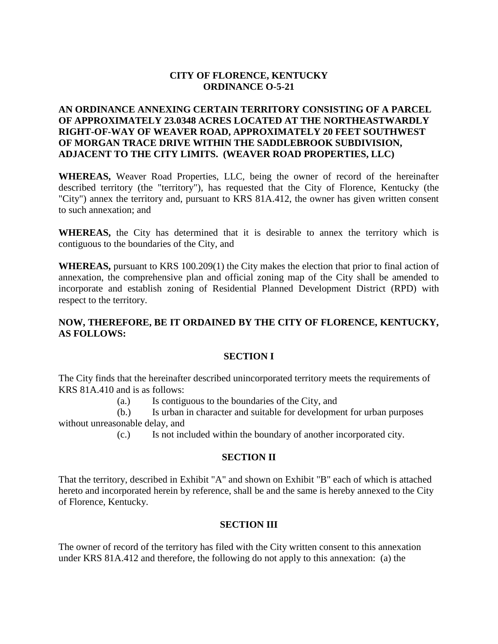# **CITY OF FLORENCE, KENTUCKY ORDINANCE O-5-21**

# **AN ORDINANCE ANNEXING CERTAIN TERRITORY CONSISTING OF A PARCEL OF APPROXIMATELY 23.0348 ACRES LOCATED AT THE NORTHEASTWARDLY RIGHT-OF-WAY OF WEAVER ROAD, APPROXIMATELY 20 FEET SOUTHWEST OF MORGAN TRACE DRIVE WITHIN THE SADDLEBROOK SUBDIVISION, ADJACENT TO THE CITY LIMITS. (WEAVER ROAD PROPERTIES, LLC)**

**WHEREAS,** Weaver Road Properties, LLC, being the owner of record of the hereinafter described territory (the "territory"), has requested that the City of Florence, Kentucky (the "City") annex the territory and, pursuant to KRS 81A.412, the owner has given written consent to such annexation; and

**WHEREAS,** the City has determined that it is desirable to annex the territory which is contiguous to the boundaries of the City, and

**WHEREAS,** pursuant to KRS 100.209(1) the City makes the election that prior to final action of annexation, the comprehensive plan and official zoning map of the City shall be amended to incorporate and establish zoning of Residential Planned Development District (RPD) with respect to the territory.

# **NOW, THEREFORE, BE IT ORDAINED BY THE CITY OF FLORENCE, KENTUCKY, AS FOLLOWS:**

## **SECTION I**

The City finds that the hereinafter described unincorporated territory meets the requirements of KRS 81A.410 and is as follows:

(a.) Is contiguous to the boundaries of the City, and

(b.) Is urban in character and suitable for development for urban purposes without unreasonable delay, and

(c.) Is not included within the boundary of another incorporated city.

## **SECTION II**

That the territory, described in Exhibit "A" and shown on Exhibit "B" each of which is attached hereto and incorporated herein by reference, shall be and the same is hereby annexed to the City of Florence, Kentucky.

## **SECTION III**

The owner of record of the territory has filed with the City written consent to this annexation under KRS 81A.412 and therefore, the following do not apply to this annexation: (a) the